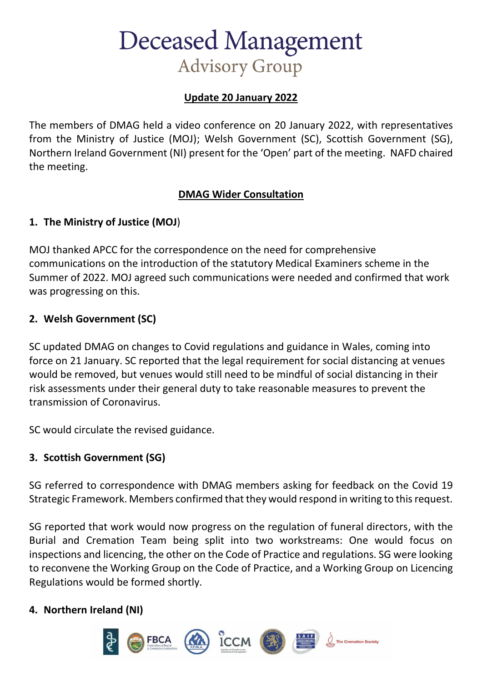## **Deceased Management Advisory Group**

### **Update 20 January 2022**

The members of DMAG held a video conference on 20 January 2022, with representatives from the Ministry of Justice (MOJ); Welsh Government (SC), Scottish Government (SG), Northern Ireland Government (NI) present for the 'Open' part of the meeting. NAFD chaired the meeting.

#### **DMAG Wider Consultation**

#### **1. The Ministry of Justice (MOJ**)

MOJ thanked APCC for the correspondence on the need for comprehensive communications on the introduction of the statutory Medical Examiners scheme in the Summer of 2022. MOJ agreed such communications were needed and confirmed that work was progressing on this.

#### **2. Welsh Government (SC)**

SC updated DMAG on changes to Covid regulations and guidance in Wales, coming into force on 21 January. SC reported that the legal requirement for social distancing at venues would be removed, but venues would still need to be mindful of social distancing in their risk assessments under their general duty to take reasonable measures to prevent the transmission of Coronavirus.

SC would circulate the revised guidance.

#### **3. Scottish Government (SG)**

SG referred to correspondence with DMAG members asking for feedback on the Covid 19 Strategic Framework. Members confirmed that they would respond in writing to this request.

SG reported that work would now progress on the regulation of funeral directors, with the Burial and Cremation Team being split into two workstreams: One would focus on inspections and licencing, the other on the Code of Practice and regulations. SG were looking to reconvene the Working Group on the Code of Practice, and a Working Group on Licencing Regulations would be formed shortly.

#### **4. Northern Ireland (NI)**